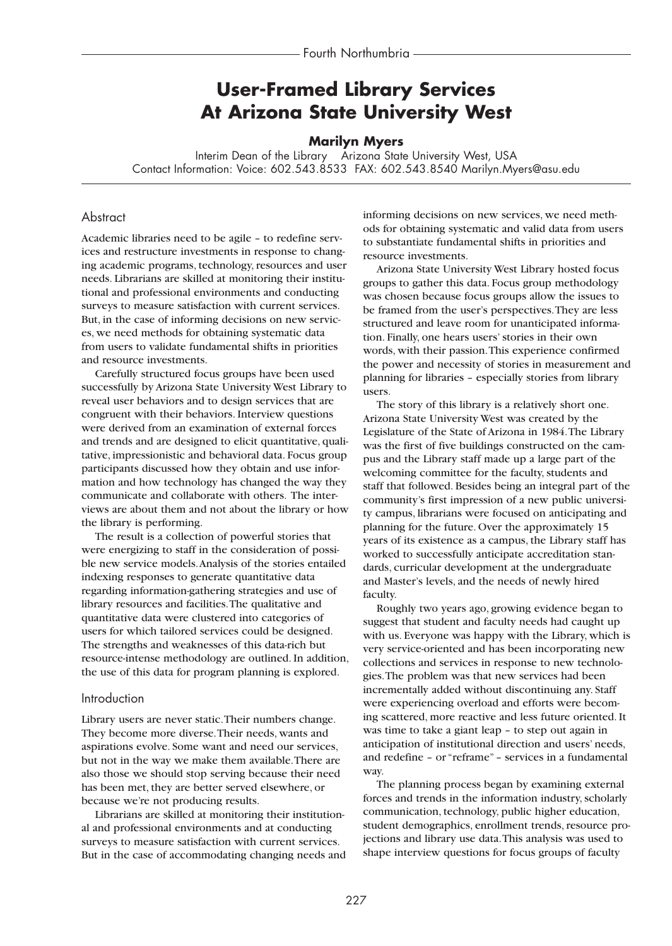# **User-Framed Library Services At Arizona State University West**

#### **Marilyn Myers**

Interim Dean of the Library Arizona State University West, USA Contact Information: Voice: 602.543.8533 FAX: 602.543.8540 Marilyn.Myers@asu.edu

### **Abstract**

Academic libraries need to be agile – to redefine services and restructure investments in response to changing academic programs, technology, resources and user needs. Librarians are skilled at monitoring their institutional and professional environments and conducting surveys to measure satisfaction with current services. But, in the case of informing decisions on new services, we need methods for obtaining systematic data from users to validate fundamental shifts in priorities and resource investments.

Carefully structured focus groups have been used successfully by Arizona State University West Library to reveal user behaviors and to design services that are congruent with their behaviors. Interview questions were derived from an examination of external forces and trends and are designed to elicit quantitative, qualitative, impressionistic and behavioral data. Focus group participants discussed how they obtain and use information and how technology has changed the way they communicate and collaborate with others. The interviews are about them and not about the library or how the library is performing.

The result is a collection of powerful stories that were energizing to staff in the consideration of possible new service models.Analysis of the stories entailed indexing responses to generate quantitative data regarding information-gathering strategies and use of library resources and facilities.The qualitative and quantitative data were clustered into categories of users for which tailored services could be designed. The strengths and weaknesses of this data-rich but resource-intense methodology are outlined. In addition, the use of this data for program planning is explored.

#### Introduction

Library users are never static.Their numbers change. They become more diverse.Their needs, wants and aspirations evolve. Some want and need our services, but not in the way we make them available.There are also those we should stop serving because their need has been met, they are better served elsewhere, or because we're not producing results.

Librarians are skilled at monitoring their institutional and professional environments and at conducting surveys to measure satisfaction with current services. But in the case of accommodating changing needs and informing decisions on new services, we need methods for obtaining systematic and valid data from users to substantiate fundamental shifts in priorities and resource investments.

Arizona State University West Library hosted focus groups to gather this data. Focus group methodology was chosen because focus groups allow the issues to be framed from the user's perspectives.They are less structured and leave room for unanticipated information. Finally, one hears users' stories in their own words, with their passion.This experience confirmed the power and necessity of stories in measurement and planning for libraries – especially stories from library users.

The story of this library is a relatively short one. Arizona State University West was created by the Legislature of the State of Arizona in 1984.The Library was the first of five buildings constructed on the campus and the Library staff made up a large part of the welcoming committee for the faculty, students and staff that followed. Besides being an integral part of the community's first impression of a new public university campus, librarians were focused on anticipating and planning for the future. Over the approximately 15 years of its existence as a campus, the Library staff has worked to successfully anticipate accreditation standards, curricular development at the undergraduate and Master's levels, and the needs of newly hired faculty.

Roughly two years ago, growing evidence began to suggest that student and faculty needs had caught up with us. Everyone was happy with the Library, which is very service-oriented and has been incorporating new collections and services in response to new technologies.The problem was that new services had been incrementally added without discontinuing any. Staff were experiencing overload and efforts were becoming scattered, more reactive and less future oriented. It was time to take a giant leap – to step out again in anticipation of institutional direction and users' needs, and redefine – or "reframe" – services in a fundamental way.

The planning process began by examining external forces and trends in the information industry, scholarly communication, technology, public higher education, student demographics, enrollment trends, resource projections and library use data.This analysis was used to shape interview questions for focus groups of faculty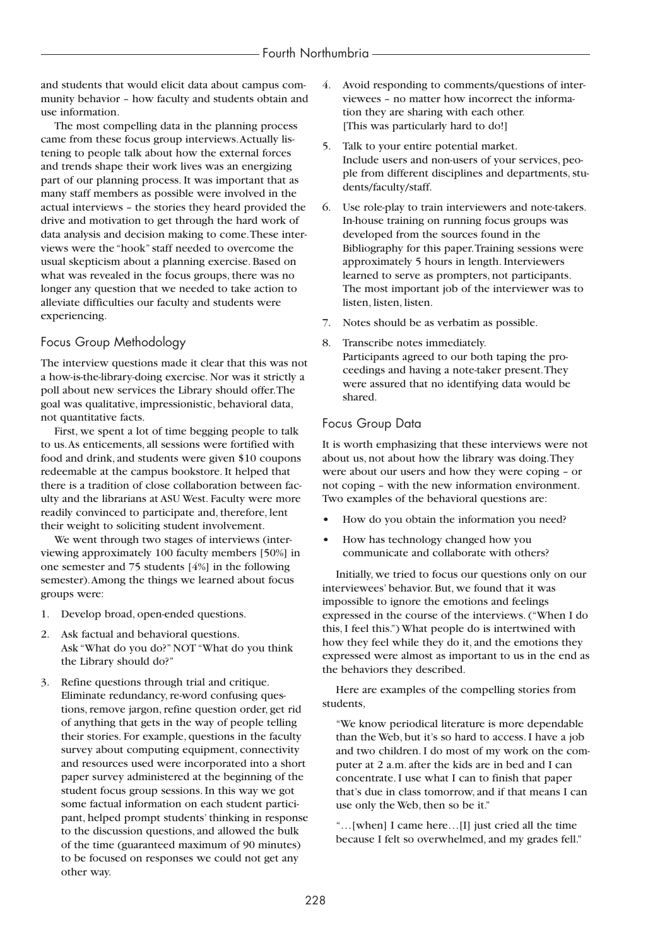and students that would elicit data about campus community behavior – how faculty and students obtain and use information.

The most compelling data in the planning process came from these focus group interviews.Actually listening to people talk about how the external forces and trends shape their work lives was an energizing part of our planning process. It was important that as many staff members as possible were involved in the actual interviews – the stories they heard provided the drive and motivation to get through the hard work of data analysis and decision making to come.These interviews were the "hook" staff needed to overcome the usual skepticism about a planning exercise. Based on what was revealed in the focus groups, there was no longer any question that we needed to take action to alleviate difficulties our faculty and students were experiencing.

### Focus Group Methodology

The interview questions made it clear that this was not a how-is-the-library-doing exercise. Nor was it strictly a poll about new services the Library should offer.The goal was qualitative, impressionistic, behavioral data, not quantitative facts.

First, we spent a lot of time begging people to talk to us.As enticements, all sessions were fortified with food and drink, and students were given \$10 coupons redeemable at the campus bookstore. It helped that there is a tradition of close collaboration between faculty and the librarians at ASU West. Faculty were more readily convinced to participate and, therefore, lent their weight to soliciting student involvement.

We went through two stages of interviews (interviewing approximately 100 faculty members [50%] in one semester and 75 students [4%] in the following semester).Among the things we learned about focus groups were:

- 1. Develop broad, open-ended questions.
- 2. Ask factual and behavioral questions. Ask "What do you do?" NOT "What do you think the Library should do?"
- 3. Refine questions through trial and critique. Eliminate redundancy, re-word confusing questions, remove jargon, refine question order, get rid of anything that gets in the way of people telling their stories. For example, questions in the faculty survey about computing equipment, connectivity and resources used were incorporated into a short paper survey administered at the beginning of the student focus group sessions. In this way we got some factual information on each student participant, helped prompt students' thinking in response to the discussion questions, and allowed the bulk of the time (guaranteed maximum of 90 minutes) to be focused on responses we could not get any other way.
- 4. Avoid responding to comments/questions of interviewees – no matter how incorrect the information they are sharing with each other. [This was particularly hard to do!]
- 5. Talk to your entire potential market. Include users and non-users of your services, people from different disciplines and departments, students/faculty/staff.
- 6. Use role-play to train interviewers and note-takers. In-house training on running focus groups was developed from the sources found in the Bibliography for this paper.Training sessions were approximately 5 hours in length. Interviewers learned to serve as prompters, not participants. The most important job of the interviewer was to listen, listen, listen.
- 7. Notes should be as verbatim as possible.
- 8. Transcribe notes immediately. Participants agreed to our both taping the proceedings and having a note-taker present.They were assured that no identifying data would be shared.

### Focus Group Data

It is worth emphasizing that these interviews were not about us, not about how the library was doing.They were about our users and how they were coping – or not coping – with the new information environment. Two examples of the behavioral questions are:

- **•** How do you obtain the information you need?
- **•** How has technology changed how you communicate and collaborate with others?

Initially, we tried to focus our questions only on our interviewees' behavior. But, we found that it was impossible to ignore the emotions and feelings expressed in the course of the interviews. ("When I do this, I feel this.") What people do is intertwined with how they feel while they do it, and the emotions they expressed were almost as important to us in the end as the behaviors they described.

Here are examples of the compelling stories from students,

"We know periodical literature is more dependable than the Web, but it's so hard to access. I have a job and two children. I do most of my work on the computer at 2 a.m. after the kids are in bed and I can concentrate. I use what I can to finish that paper that's due in class tomorrow, and if that means I can use only the Web, then so be it."

"…[when] I came here…[I] just cried all the time because I felt so overwhelmed, and my grades fell."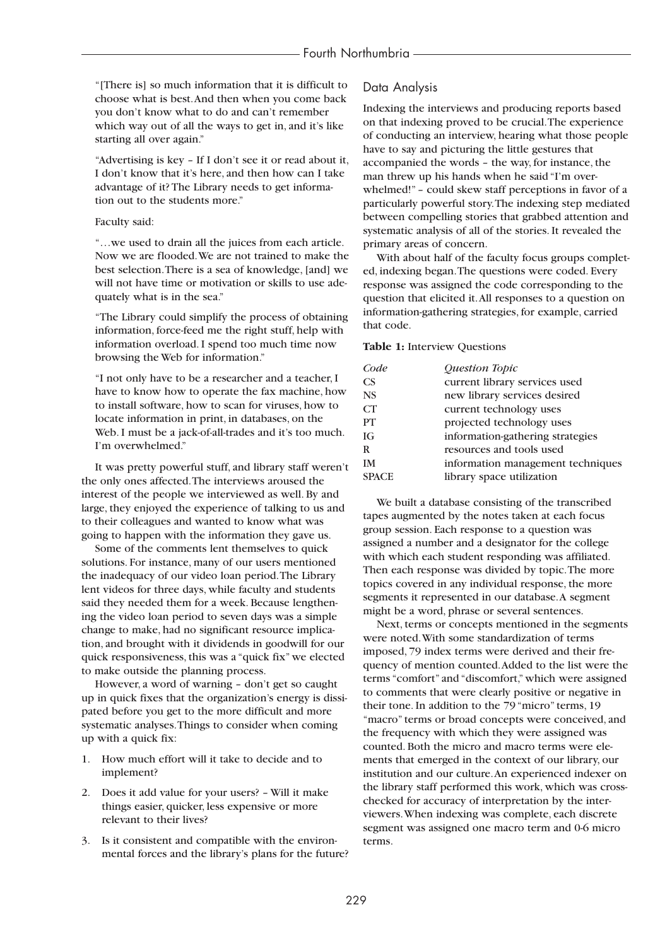"[There is] so much information that it is difficult to choose what is best.And then when you come back you don't know what to do and can't remember which way out of all the ways to get in, and it's like starting all over again."

"Advertising is key – If I don't see it or read about it, I don't know that it's here, and then how can I take advantage of it? The Library needs to get information out to the students more."

#### Faculty said:

"…we used to drain all the juices from each article. Now we are flooded.We are not trained to make the best selection.There is a sea of knowledge, [and] we will not have time or motivation or skills to use adequately what is in the sea."

"The Library could simplify the process of obtaining information, force-feed me the right stuff, help with information overload. I spend too much time now browsing the Web for information."

"I not only have to be a researcher and a teacher, I have to know how to operate the fax machine, how to install software, how to scan for viruses, how to locate information in print, in databases, on the Web. I must be a jack-of-all-trades and it's too much. I'm overwhelmed."

It was pretty powerful stuff, and library staff weren't the only ones affected.The interviews aroused the interest of the people we interviewed as well. By and large, they enjoyed the experience of talking to us and to their colleagues and wanted to know what was going to happen with the information they gave us.

Some of the comments lent themselves to quick solutions. For instance, many of our users mentioned the inadequacy of our video loan period.The Library lent videos for three days, while faculty and students said they needed them for a week. Because lengthening the video loan period to seven days was a simple change to make, had no significant resource implication, and brought with it dividends in goodwill for our quick responsiveness, this was a "quick fix" we elected to make outside the planning process.

However, a word of warning – don't get so caught up in quick fixes that the organization's energy is dissipated before you get to the more difficult and more systematic analyses.Things to consider when coming up with a quick fix:

- 1. How much effort will it take to decide and to implement?
- 2. Does it add value for your users? Will it make things easier, quicker, less expensive or more relevant to their lives?
- 3. Is it consistent and compatible with the environmental forces and the library's plans for the future?

#### Data Analysis

Indexing the interviews and producing reports based on that indexing proved to be crucial.The experience of conducting an interview, hearing what those people have to say and picturing the little gestures that accompanied the words – the way, for instance, the man threw up his hands when he said "I'm overwhelmed!" – could skew staff perceptions in favor of a particularly powerful story.The indexing step mediated between compelling stories that grabbed attention and systematic analysis of all of the stories. It revealed the primary areas of concern.

With about half of the faculty focus groups completed, indexing began.The questions were coded. Every response was assigned the code corresponding to the question that elicited it.All responses to a question on information-gathering strategies, for example, carried that code.

#### **Table 1:** Interview Questions

| Code         | Question Topic                    |
|--------------|-----------------------------------|
| <b>CS</b>    | current library services used     |
| <b>NS</b>    | new library services desired      |
| CT           | current technology uses           |
| PT           | projected technology uses         |
| IG           | information-gathering strategies  |
| R            | resources and tools used          |
| <b>IM</b>    | information management techniques |
| <b>SPACE</b> | library space utilization         |

We built a database consisting of the transcribed tapes augmented by the notes taken at each focus group session. Each response to a question was assigned a number and a designator for the college with which each student responding was affiliated. Then each response was divided by topic.The more topics covered in any individual response, the more segments it represented in our database.A segment might be a word, phrase or several sentences.

Next, terms or concepts mentioned in the segments were noted.With some standardization of terms imposed, 79 index terms were derived and their frequency of mention counted.Added to the list were the terms "comfort" and "discomfort," which were assigned to comments that were clearly positive or negative in their tone. In addition to the 79 "micro" terms, 19 "macro" terms or broad concepts were conceived, and the frequency with which they were assigned was counted. Both the micro and macro terms were elements that emerged in the context of our library, our institution and our culture.An experienced indexer on the library staff performed this work, which was crosschecked for accuracy of interpretation by the interviewers.When indexing was complete, each discrete segment was assigned one macro term and 0-6 micro terms.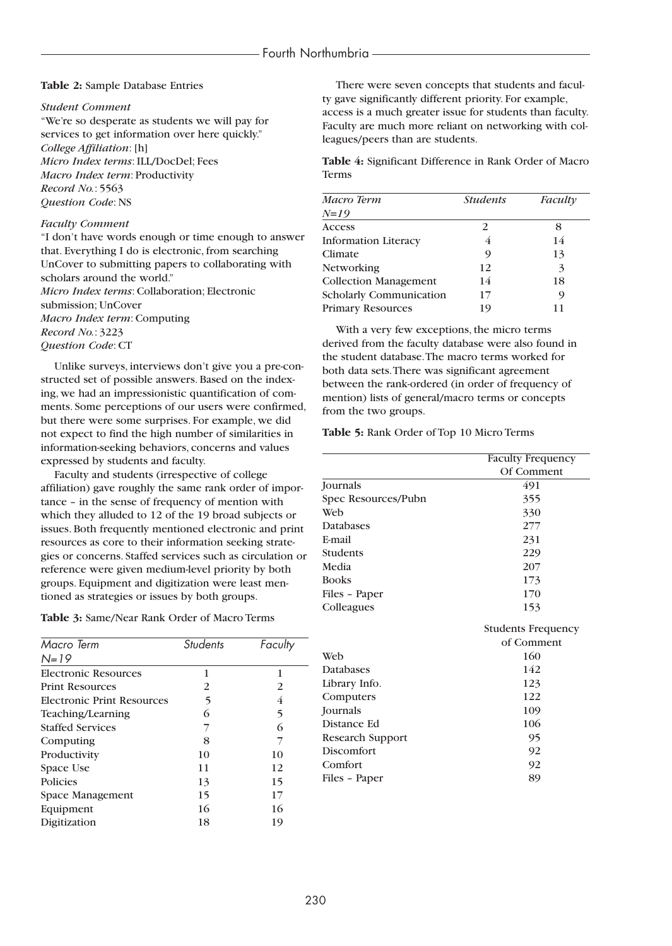#### **Table 2:** Sample Database Entries

#### *Student Comment*

"We're so desperate as students we will pay for services to get information over here quickly." *College Affiliation*: [h] *Micro Index terms*: ILL/DocDel; Fees *Macro Index term*: Productivity *Record No.*: 5563 *Question Code*: NS

#### *Faculty Comment*

"I don't have words enough or time enough to answer that. Everything I do is electronic, from searching UnCover to submitting papers to collaborating with scholars around the world." *Micro Index terms*: Collaboration; Electronic submission; UnCover *Macro Index term*: Computing *Record No.*: 3223 *Question Code*: CT

Unlike surveys, interviews don't give you a pre-constructed set of possible answers. Based on the indexing, we had an impressionistic quantification of comments. Some perceptions of our users were confirmed, but there were some surprises. For example, we did not expect to find the high number of similarities in information-seeking behaviors, concerns and values expressed by students and faculty.

Faculty and students (irrespective of college affiliation) gave roughly the same rank order of importance – in the sense of frequency of mention with which they alluded to 12 of the 19 broad subjects or issues. Both frequently mentioned electronic and print resources as core to their information seeking strategies or concerns. Staffed services such as circulation or reference were given medium-level priority by both groups. Equipment and digitization were least mentioned as strategies or issues by both groups.

**Table 3:** Same/Near Rank Order of Macro Terms

| Macro Term                  | <b>Students</b> | Faculty |
|-----------------------------|-----------------|---------|
| $N = 19$                    |                 |         |
| <b>Electronic Resources</b> | 1               | 1       |
| <b>Print Resources</b>      | 2               | 2       |
| Electronic Print Resources  | 5               | 4       |
| Teaching/Learning           | 6               | 5       |
| <b>Staffed Services</b>     |                 | 6       |
| Computing                   | 8               |         |
| Productivity                | 10              | 10      |
| Space Use                   | 11              | 12      |
| Policies                    | 13              | 15      |
| Space Management            | 15              | 17      |
| Equipment                   | 16              | 16      |
| Digitization                | 18              | 19      |

There were seven concepts that students and faculty gave significantly different priority. For example, access is a much greater issue for students than faculty. Faculty are much more reliant on networking with colleagues/peers than are students.

**Table 4:** Significant Difference in Rank Order of Macro Terms

| Macro Term                     | <b>Students</b> | Faculty |
|--------------------------------|-----------------|---------|
| $N = 19$                       |                 |         |
| <b>Access</b>                  | 2               |         |
| <b>Information Literacy</b>    | 4               | 14      |
| Climate                        | 9               | 13      |
| <b>Networking</b>              | 12              | 3       |
| <b>Collection Management</b>   | 14              | 18      |
| <b>Scholarly Communication</b> | 17              | 9       |
| <b>Primary Resources</b>       | 19              |         |

With a very few exceptions, the micro terms derived from the faculty database were also found in the student database.The macro terms worked for both data sets.There was significant agreement between the rank-ordered (in order of frequency of mention) lists of general/macro terms or concepts from the two groups.

#### **Table 5:** Rank Order of Top 10 Micro Terms

|                         | <b>Faculty Frequency</b>  |
|-------------------------|---------------------------|
|                         | Of Comment                |
| Journals                | 491                       |
| Spec Resources/Pubn     | 355                       |
| Web                     | 330                       |
| <b>Databases</b>        | 277                       |
| E-mail                  | 231                       |
| <b>Students</b>         | 229                       |
| Media                   | 207                       |
| <b>Books</b>            | 173                       |
| Files - Paper           | 170                       |
| Colleagues              | 153                       |
|                         | <b>Students Frequency</b> |
|                         | of Comment                |
| Web                     | 160                       |
| <b>Databases</b>        | 142                       |
| Library Info.           | 123                       |
| Computers               | 122                       |
| Journals                | 109                       |
| Distance Ed             | 106                       |
| <b>Research Support</b> | 95                        |
| Discomfort              | 92                        |
| Comfort                 | 92                        |
| Files - Paper           | 89                        |
|                         |                           |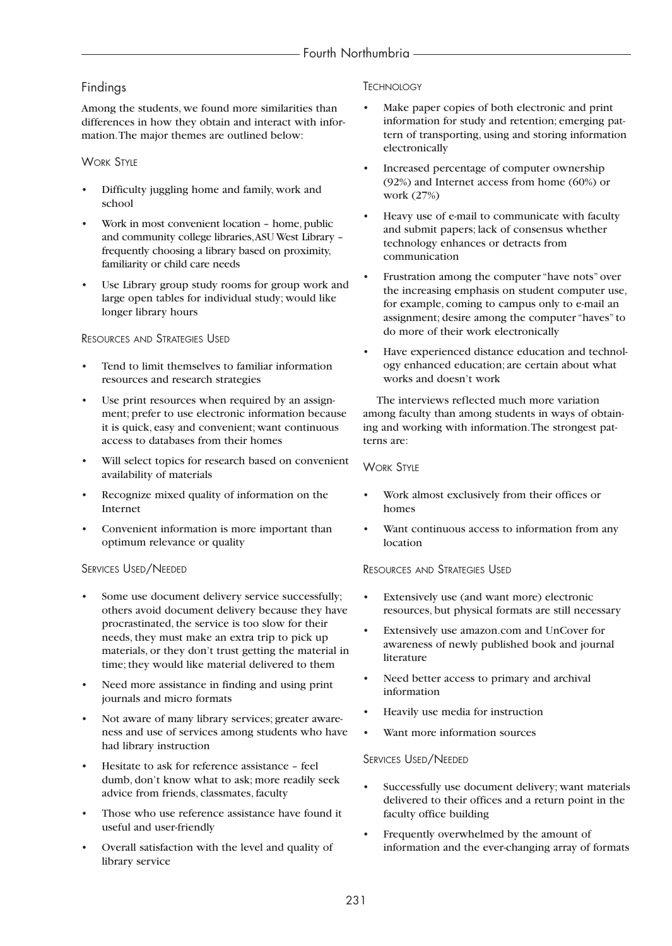# Findings

Among the students, we found more similarities than differences in how they obtain and interact with information.The major themes are outlined below:

### WORK STYLE

- Difficulty juggling home and family, work and school
- Work in most convenient location home, public and community college libraries,ASU West Library – frequently choosing a library based on proximity, familiarity or child care needs
- Use Library group study rooms for group work and large open tables for individual study; would like longer library hours

### RESOURCES AND STRATEGIES USED

- Tend to limit themselves to familiar information resources and research strategies
- Use print resources when required by an assignment; prefer to use electronic information because it is quick, easy and convenient; want continuous access to databases from their homes
- Will select topics for research based on convenient availability of materials
- Recognize mixed quality of information on the Internet
- Convenient information is more important than optimum relevance or quality

### SERVICES USED/NEEDED

- Some use document delivery service successfully; others avoid document delivery because they have procrastinated, the service is too slow for their needs, they must make an extra trip to pick up materials, or they don't trust getting the material in time; they would like material delivered to them
- Need more assistance in finding and using print journals and micro formats
- Not aware of many library services; greater awareness and use of services among students who have had library instruction
- Hesitate to ask for reference assistance feel dumb, don't know what to ask; more readily seek advice from friends, classmates, faculty
- Those who use reference assistance have found it useful and user-friendly
- Overall satisfaction with the level and quality of library service

### **TECHNOLOGY**

- Make paper copies of both electronic and print information for study and retention; emerging pattern of transporting, using and storing information electronically
- Increased percentage of computer ownership (92%) and Internet access from home (60%) or work (27%)
- Heavy use of e-mail to communicate with faculty and submit papers; lack of consensus whether technology enhances or detracts from communication
- Frustration among the computer "have nots" over the increasing emphasis on student computer use, for example, coming to campus only to e-mail an assignment; desire among the computer "haves" to do more of their work electronically
- Have experienced distance education and technology enhanced education; are certain about what works and doesn't work

The interviews reflected much more variation among faculty than among students in ways of obtaining and working with information.The strongest patterns are:

### **WORK STYLE**

- Work almost exclusively from their offices or homes
- Want continuous access to information from any location

### RESOURCES AND STRATEGIES USED

- Extensively use (and want more) electronic resources, but physical formats are still necessary
- Extensively use amazon.com and UnCover for awareness of newly published book and journal literature
- Need better access to primary and archival information
- Heavily use media for instruction
- Want more information sources

### SERVICES USED/NEEDED

- Successfully use document delivery; want materials delivered to their offices and a return point in the faculty office building
- Frequently overwhelmed by the amount of information and the ever-changing array of formats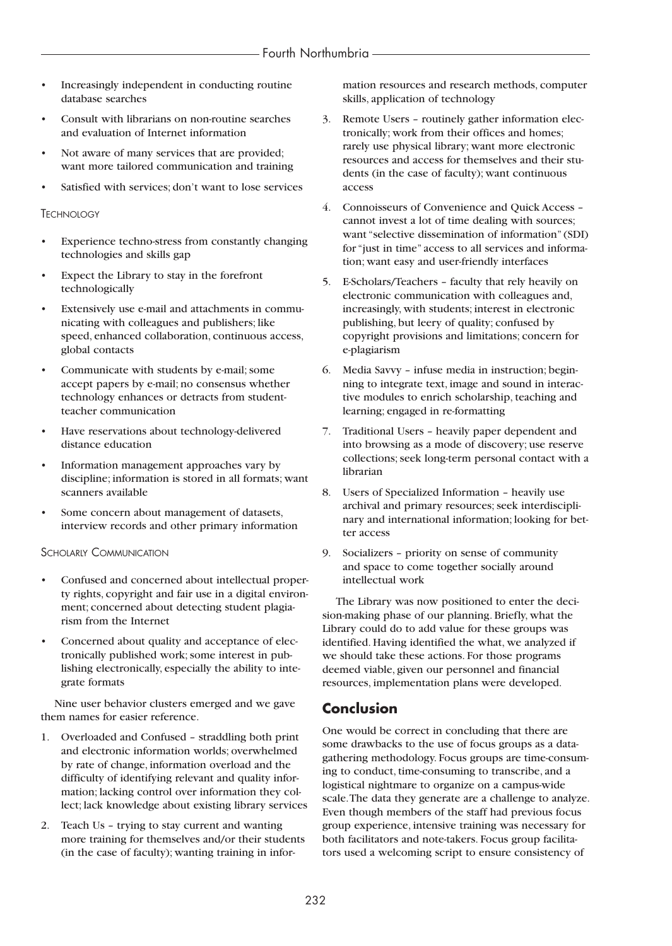- Increasingly independent in conducting routine database searches
- Consult with librarians on non-routine searches and evaluation of Internet information
- Not aware of many services that are provided; want more tailored communication and training
- Satisfied with services; don't want to lose services

#### **TECHNOLOGY**

- Experience techno-stress from constantly changing technologies and skills gap
- Expect the Library to stay in the forefront technologically
- Extensively use e-mail and attachments in communicating with colleagues and publishers; like speed, enhanced collaboration, continuous access, global contacts
- Communicate with students by e-mail; some accept papers by e-mail; no consensus whether technology enhances or detracts from studentteacher communication
- Have reservations about technology-delivered distance education
- Information management approaches vary by discipline; information is stored in all formats; want scanners available
- Some concern about management of datasets, interview records and other primary information

#### **SCHOLARLY COMMUNICATION**

- Confused and concerned about intellectual property rights, copyright and fair use in a digital environment; concerned about detecting student plagiarism from the Internet
- Concerned about quality and acceptance of electronically published work; some interest in publishing electronically, especially the ability to integrate formats

Nine user behavior clusters emerged and we gave them names for easier reference.

- 1. Overloaded and Confused straddling both print and electronic information worlds; overwhelmed by rate of change, information overload and the difficulty of identifying relevant and quality information; lacking control over information they collect; lack knowledge about existing library services
- 2. Teach Us trying to stay current and wanting more training for themselves and/or their students (in the case of faculty); wanting training in infor-

mation resources and research methods, computer skills, application of technology

- 3. Remote Users routinely gather information electronically; work from their offices and homes; rarely use physical library; want more electronic resources and access for themselves and their students (in the case of faculty); want continuous access
- 4. Connoisseurs of Convenience and Quick Access cannot invest a lot of time dealing with sources; want "selective dissemination of information" (SDI) for "just in time" access to all services and information; want easy and user-friendly interfaces
- 5. E-Scholars/Teachers faculty that rely heavily on electronic communication with colleagues and, increasingly, with students; interest in electronic publishing, but leery of quality; confused by copyright provisions and limitations; concern for e-plagiarism
- 6. Media Savvy infuse media in instruction; beginning to integrate text, image and sound in interactive modules to enrich scholarship, teaching and learning; engaged in re-formatting
- 7. Traditional Users heavily paper dependent and into browsing as a mode of discovery; use reserve collections; seek long-term personal contact with a librarian
- 8. Users of Specialized Information heavily use archival and primary resources; seek interdisciplinary and international information; looking for better access
- 9. Socializers priority on sense of community and space to come together socially around intellectual work

The Library was now positioned to enter the decision-making phase of our planning. Briefly, what the Library could do to add value for these groups was identified. Having identified the what, we analyzed if we should take these actions. For those programs deemed viable, given our personnel and financial resources, implementation plans were developed.

# **Conclusion**

One would be correct in concluding that there are some drawbacks to the use of focus groups as a datagathering methodology. Focus groups are time-consuming to conduct, time-consuming to transcribe, and a logistical nightmare to organize on a campus-wide scale.The data they generate are a challenge to analyze. Even though members of the staff had previous focus group experience, intensive training was necessary for both facilitators and note-takers. Focus group facilitators used a welcoming script to ensure consistency of